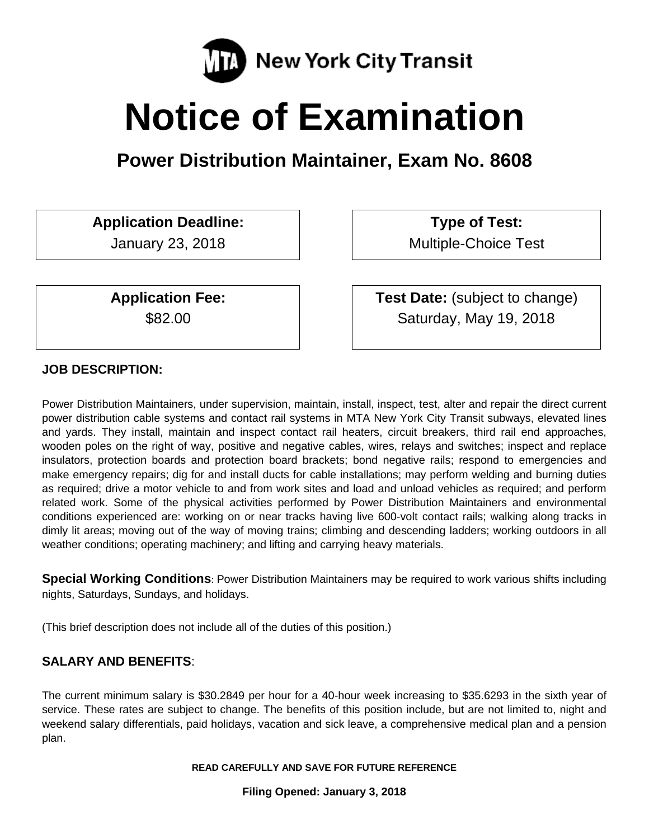

# **Notice of Examination**

**Power Distribution Maintainer, Exam No. 8608** 

# **Application Deadline:**

January 23, 2018

**Application Fee:**  \$82.00

 **Type of Test:**  Multiple-Choice Test

 **Test Date:** (subject to change) Saturday, May 19, 2018

# **JOB DESCRIPTION:**

Power Distribution Maintainers, under supervision, maintain, install, inspect, test, alter and repair the direct current power distribution cable systems and contact rail systems in MTA New York City Transit subways, elevated lines and yards. They install, maintain and inspect contact rail heaters, circuit breakers, third rail end approaches, wooden poles on the right of way, positive and negative cables, wires, relays and switches; inspect and replace insulators, protection boards and protection board brackets; bond negative rails; respond to emergencies and make emergency repairs; dig for and install ducts for cable installations; may perform welding and burning duties as required; drive a motor vehicle to and from work sites and load and unload vehicles as required; and perform related work. Some of the physical activities performed by Power Distribution Maintainers and environmental conditions experienced are: working on or near tracks having live 600-volt contact rails; walking along tracks in dimly lit areas; moving out of the way of moving trains; climbing and descending ladders; working outdoors in all weather conditions; operating machinery; and lifting and carrying heavy materials.

**Special Working Conditions**: Power Distribution Maintainers may be required to work various shifts including nights, Saturdays, Sundays, and holidays.

(This brief description does not include all of the duties of this position.)

# **SALARY AND BENEFITS**:

The current minimum salary is \$30.2849 per hour for a 40-hour week increasing to \$35.6293 in the sixth year of service. These rates are subject to change. The benefits of this position include, but are not limited to, night and weekend salary differentials, paid holidays, vacation and sick leave, a comprehensive medical plan and a pension plan.

**READ CAREFULLY AND SAVE FOR FUTURE REFERENCE** 

**Filing Opened: January 3, 2018**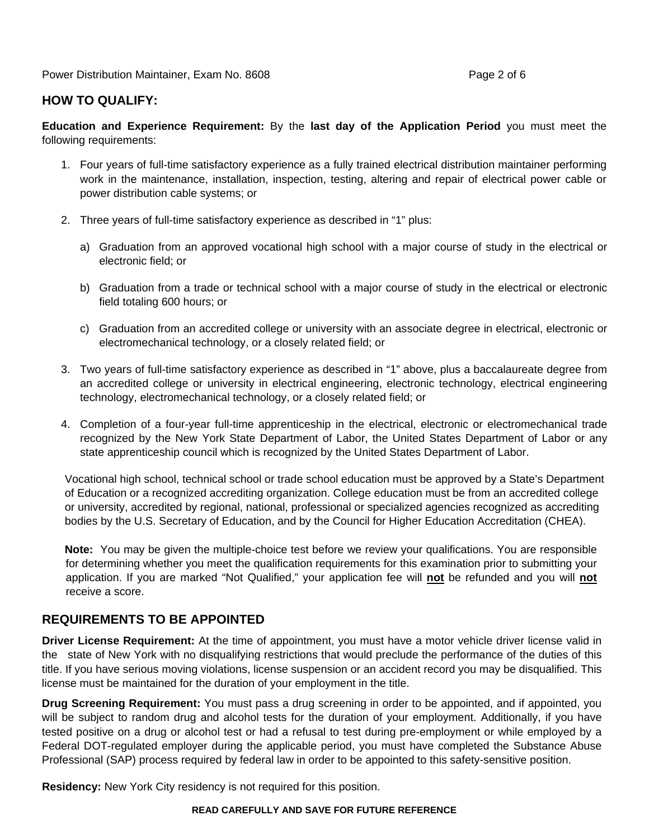Power Distribution Maintainer, Exam No. 8608 **Page 2 of 6** Page 2 of 6

## **HOW TO QUALIFY:**

**Education and Experience Requirement:** By the **last day of the Application Period** you must meet the following requirements:

- 1. Four years of full-time satisfactory experience as a fully trained electrical distribution maintainer performing work in the maintenance, installation, inspection, testing, altering and repair of electrical power cable or power distribution cable systems; or
- 2. Three years of full-time satisfactory experience as described in "1" plus:
	- a) Graduation from an approved vocational high school with a major course of study in the electrical or electronic field; or
	- b) Graduation from a trade or technical school with a major course of study in the electrical or electronic field totaling 600 hours; or
	- c) Graduation from an accredited college or university with an associate degree in electrical, electronic or electromechanical technology, or a closely related field; or
- 3. Two years of full-time satisfactory experience as described in "1" above, plus a baccalaureate degree from an accredited college or university in electrical engineering, electronic technology, electrical engineering technology, electromechanical technology, or a closely related field; or
- 4. Completion of a four-year full-time apprenticeship in the electrical, electronic or electromechanical trade recognized by the New York State Department of Labor, the United States Department of Labor or any state apprenticeship council which is recognized by the United States Department of Labor.

Vocational high school, technical school or trade school education must be approved by a State's Department of Education or a recognized accrediting organization. College education must be from an accredited college or university, accredited by regional, national, professional or specialized agencies recognized as accrediting bodies by the U.S. Secretary of Education, and by the Council for Higher Education Accreditation (CHEA).

**Note:** You may be given the multiple-choice test before we review your qualifications. You are responsible for determining whether you meet the qualification requirements for this examination prior to submitting your application. If you are marked "Not Qualified," your application fee will **not** be refunded and you will **not** receive a score.

## **REQUIREMENTS TO BE APPOINTED**

**Driver License Requirement:** At the time of appointment, you must have a motor vehicle driver license valid in the state of New York with no disqualifying restrictions that would preclude the performance of the duties of this title. If you have serious moving violations, license suspension or an accident record you may be disqualified. This license must be maintained for the duration of your employment in the title.

**Drug Screening Requirement:** You must pass a drug screening in order to be appointed, and if appointed, you will be subject to random drug and alcohol tests for the duration of your employment. Additionally, if you have tested positive on a drug or alcohol test or had a refusal to test during pre-employment or while employed by a Federal DOT-regulated employer during the applicable period, you must have completed the Substance Abuse Professional (SAP) process required by federal law in order to be appointed to this safety-sensitive position.

**Residency:** New York City residency is not required for this position.

#### **READ CAREFULLY AND SAVE FOR FUTURE REFERENCE**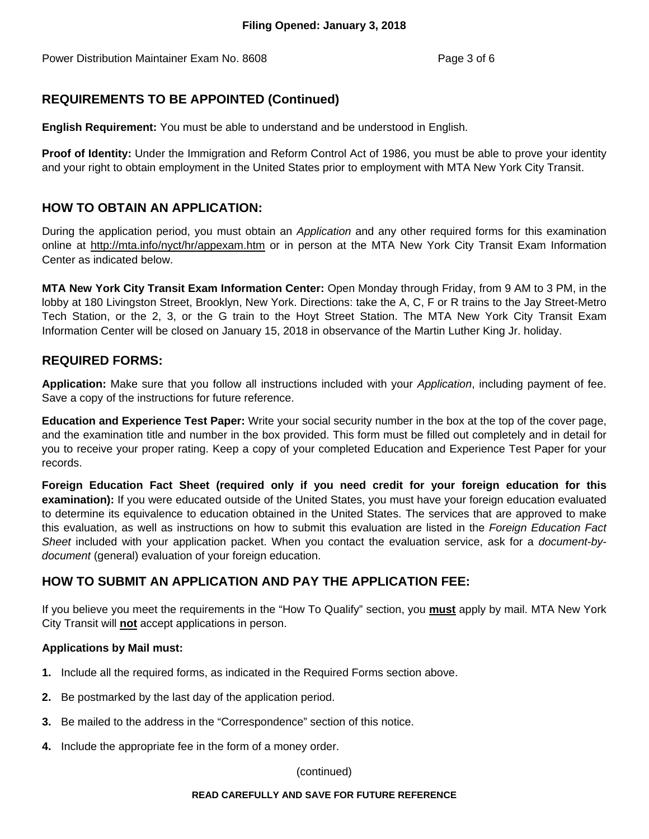Power Distribution Maintainer Exam No. 8608 Page 3 of 6

# **REQUIREMENTS TO BE APPOINTED (Continued)**

**English Requirement:** You must be able to understand and be understood in English.

**Proof of Identity:** Under the Immigration and Reform Control Act of 1986, you must be able to prove your identity and your right to obtain employment in the United States prior to employment with MTA New York City Transit.

## **HOW TO OBTAIN AN APPLICATION:**

During the application period, you must obtain an *Application* and any other required forms for this examination online at http://mta.info/nyct/hr/appexam.htm or in person at the MTA New York City Transit Exam Information Center as indicated below.

**MTA New York City Transit Exam Information Center:** Open Monday through Friday, from 9 AM to 3 PM, in the lobby at 180 Livingston Street, Brooklyn, New York. Directions: take the A, C, F or R trains to the Jay Street-Metro Tech Station, or the 2, 3, or the G train to the Hoyt Street Station. The MTA New York City Transit Exam Information Center will be closed on January 15, 2018 in observance of the Martin Luther King Jr. holiday.

## **REQUIRED FORMS:**

**Application:** Make sure that you follow all instructions included with your *Application*, including payment of fee. Save a copy of the instructions for future reference.

**Education and Experience Test Paper:** Write your social security number in the box at the top of the cover page, and the examination title and number in the box provided. This form must be filled out completely and in detail for you to receive your proper rating. Keep a copy of your completed Education and Experience Test Paper for your records.

**Foreign Education Fact Sheet (required only if you need credit for your foreign education for this examination):** If you were educated outside of the United States, you must have your foreign education evaluated to determine its equivalence to education obtained in the United States. The services that are approved to make this evaluation, as well as instructions on how to submit this evaluation are listed in the *Foreign Education Fact Sheet* included with your application packet. When you contact the evaluation service, ask for a *document-bydocument* (general) evaluation of your foreign education.

# **HOW TO SUBMIT AN APPLICATION AND PAY THE APPLICATION FEE:**

If you believe you meet the requirements in the "How To Qualify" section, you **must** apply by mail. MTA New York City Transit will **not** accept applications in person.

## **Applications by Mail must:**

- **1.** Include all the required forms, as indicated in the Required Forms section above.
- **2.** Be postmarked by the last day of the application period.
- **3.** Be mailed to the address in the "Correspondence" section of this notice.
- **4.** Include the appropriate fee in the form of a money order.

(continued)

#### **READ CAREFULLY AND SAVE FOR FUTURE REFERENCE**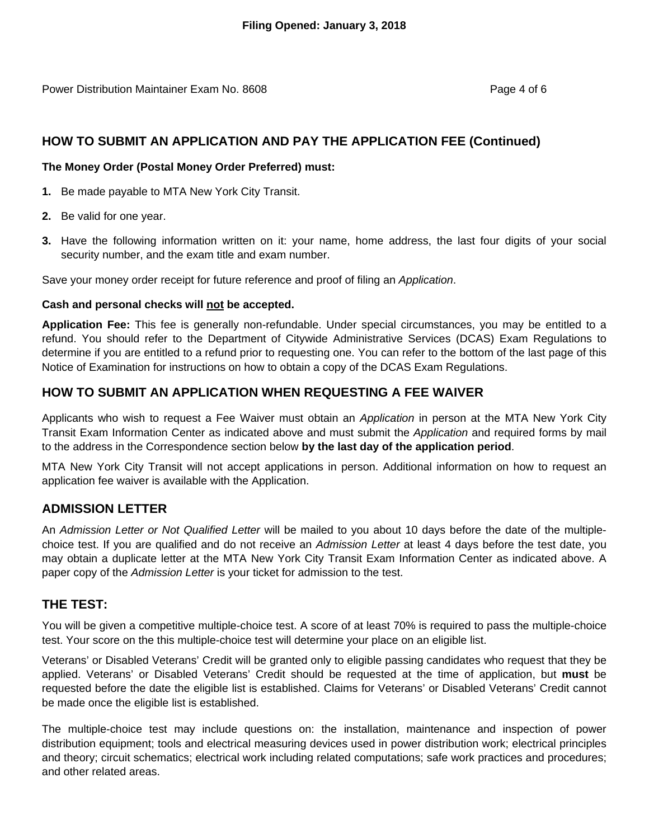Power Distribution Maintainer Exam No. 8608 Page 4 of 6

## **HOW TO SUBMIT AN APPLICATION AND PAY THE APPLICATION FEE (Continued)**

### **The Money Order (Postal Money Order Preferred) must:**

- **1.** Be made payable to MTA New York City Transit.
- **2.** Be valid for one year.
- **3.** Have the following information written on it: your name, home address, the last four digits of your social security number, and the exam title and exam number.

Save your money order receipt for future reference and proof of filing an *Application*.

#### **Cash and personal checks will not be accepted.**

**Application Fee:** This fee is generally non-refundable. Under special circumstances, you may be entitled to a refund. You should refer to the Department of Citywide Administrative Services (DCAS) Exam Regulations to determine if you are entitled to a refund prior to requesting one. You can refer to the bottom of the last page of this Notice of Examination for instructions on how to obtain a copy of the DCAS Exam Regulations.

## **HOW TO SUBMIT AN APPLICATION WHEN REQUESTING A FEE WAIVER**

Applicants who wish to request a Fee Waiver must obtain an *Application* in person at the MTA New York City Transit Exam Information Center as indicated above and must submit the *Application* and required forms by mail to the address in the Correspondence section below **by the last day of the application period**.

MTA New York City Transit will not accept applications in person. Additional information on how to request an application fee waiver is available with the Application.

## **ADMISSION LETTER**

An *Admission Letter or Not Qualified Letter* will be mailed to you about 10 days before the date of the multiplechoice test. If you are qualified and do not receive an *Admission Letter* at least 4 days before the test date, you may obtain a duplicate letter at the MTA New York City Transit Exam Information Center as indicated above. A paper copy of the *Admission Letter* is your ticket for admission to the test.

## **THE TEST:**

You will be given a competitive multiple-choice test. A score of at least 70% is required to pass the multiple-choice test. Your score on the this multiple-choice test will determine your place on an eligible list.

Veterans' or Disabled Veterans' Credit will be granted only to eligible passing candidates who request that they be applied. Veterans' or Disabled Veterans' Credit should be requested at the time of application, but **must** be requested before the date the eligible list is established. Claims for Veterans' or Disabled Veterans' Credit cannot be made once the eligible list is established.

The multiple-choice test may include questions on: the installation, maintenance and inspection of power distribution equipment; tools and electrical measuring devices used in power distribution work; electrical principles and theory; circuit schematics; electrical work including related computations; safe work practices and procedures; and other related areas.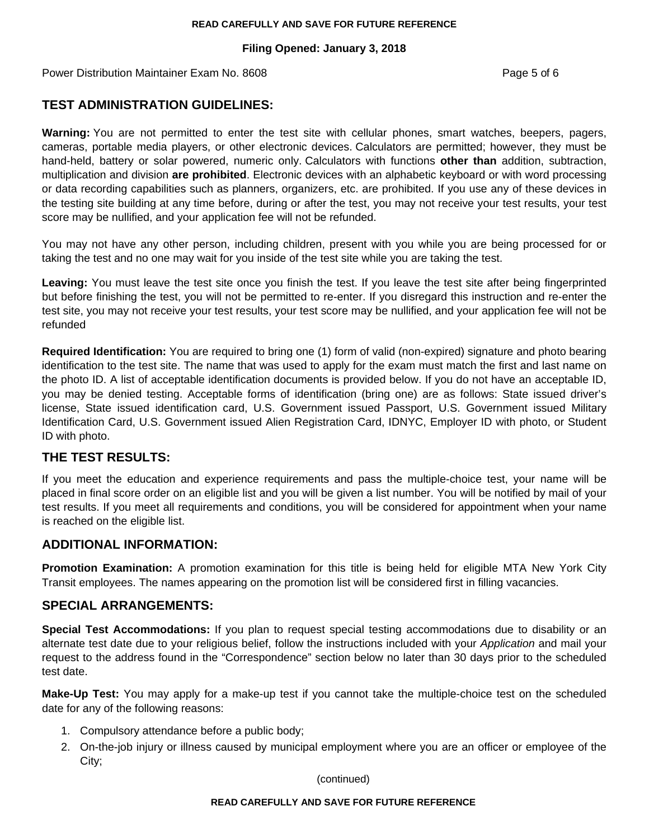#### **READ CAREFULLY AND SAVE FOR FUTURE REFERENCE**

## **Filing Opened: January 3, 2018**

Power Distribution Maintainer Exam No. 8608 **Page 1 and 7 and 7 and 7 and 7 and 7 and 7 and 7 and 7 and 7 and 7 and 7 and 7 and 7 and 7 and 7 and 7 and 7 and 7 and 7 and 7 and 7 and 7 and 7 and 7 and 7 and 7 and 7 and 7 an** 

# **TEST ADMINISTRATION GUIDELINES:**

**Warning:** You are not permitted to enter the test site with cellular phones, smart watches, beepers, pagers, cameras, portable media players, or other electronic devices. Calculators are permitted; however, they must be hand-held, battery or solar powered, numeric only. Calculators with functions **other than** addition, subtraction, multiplication and division **are prohibited**. Electronic devices with an alphabetic keyboard or with word processing or data recording capabilities such as planners, organizers, etc. are prohibited. If you use any of these devices in the testing site building at any time before, during or after the test, you may not receive your test results, your test score may be nullified, and your application fee will not be refunded.

You may not have any other person, including children, present with you while you are being processed for or taking the test and no one may wait for you inside of the test site while you are taking the test.

**Leaving:** You must leave the test site once you finish the test. If you leave the test site after being fingerprinted but before finishing the test, you will not be permitted to re-enter. If you disregard this instruction and re-enter the test site, you may not receive your test results, your test score may be nullified, and your application fee will not be refunded

**Required Identification:** You are required to bring one (1) form of valid (non-expired) signature and photo bearing identification to the test site. The name that was used to apply for the exam must match the first and last name on the photo ID. A list of acceptable identification documents is provided below. If you do not have an acceptable ID, you may be denied testing. Acceptable forms of identification (bring one) are as follows: State issued driver's license, State issued identification card, U.S. Government issued Passport, U.S. Government issued Military Identification Card, U.S. Government issued Alien Registration Card, IDNYC, Employer ID with photo, or Student ID with photo.

## **THE TEST RESULTS:**

If you meet the education and experience requirements and pass the multiple-choice test, your name will be placed in final score order on an eligible list and you will be given a list number. You will be notified by mail of your test results. If you meet all requirements and conditions, you will be considered for appointment when your name is reached on the eligible list.

## **ADDITIONAL INFORMATION:**

**Promotion Examination:** A promotion examination for this title is being held for eligible MTA New York City Transit employees. The names appearing on the promotion list will be considered first in filling vacancies.

## **SPECIAL ARRANGEMENTS:**

**Special Test Accommodations:** If you plan to request special testing accommodations due to disability or an alternate test date due to your religious belief, follow the instructions included with your *Application* and mail your request to the address found in the "Correspondence" section below no later than 30 days prior to the scheduled test date.

**Make-Up Test:** You may apply for a make-up test if you cannot take the multiple-choice test on the scheduled date for any of the following reasons:

- 1. Compulsory attendance before a public body;
- 2. On-the-job injury or illness caused by municipal employment where you are an officer or employee of the City;

(continued)